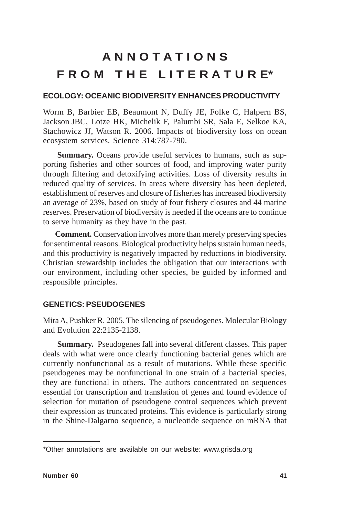# **A N N O T A T I O N S F R O M T H E L I T E R A T U R E\***

## **ECOLOGY: OCEANIC BIODIVERSITY ENHANCES PRODUCTIVITY**

Worm B, Barbier EB, Beaumont N, Duffy JE, Folke C, Halpern BS, Jackson JBC, Lotze HK, Michelik F, Palumbi SR, Sala E, Selkoe KA, Stachowicz JJ, Watson R. 2006. Impacts of biodiversity loss on ocean ecosystem services. Science 314:787-790.

**Summary.** Oceans provide useful services to humans, such as supporting fisheries and other sources of food, and improving water purity through filtering and detoxifying activities. Loss of diversity results in reduced quality of services. In areas where diversity has been depleted, establishment of reserves and closure of fisheries has increased biodiversity an average of 23%, based on study of four fishery closures and 44 marine reserves. Preservation of biodiversity is needed if the oceans are to continue to serve humanity as they have in the past.

**Comment.** Conservation involves more than merely preserving species for sentimental reasons. Biological productivity helps sustain human needs, and this productivity is negatively impacted by reductions in biodiversity. Christian stewardship includes the obligation that our interactions with our environment, including other species, be guided by informed and responsible principles.

## **GENETICS: PSEUDOGENES**

Mira A, Pushker R. 2005. The silencing of pseudogenes. Molecular Biology and Evolution 22:2135-2138.

**Summary.** Pseudogenes fall into several different classes. This paper deals with what were once clearly functioning bacterial genes which are currently nonfunctional as a result of mutations. While these specific pseudogenes may be nonfunctional in one strain of a bacterial species, they are functional in others. The authors concentrated on sequences essential for transcription and translation of genes and found evidence of selection for mutation of pseudogene control sequences which prevent their expression as truncated proteins. This evidence is particularly strong in the Shine-Dalgarno sequence, a nucleotide sequence on mRNA that

<sup>\*</sup>Other annotations are available on our website: www.grisda.org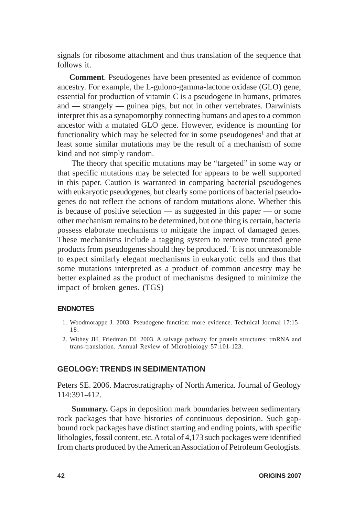signals for ribosome attachment and thus translation of the sequence that follows it.

**Comment***.* Pseudogenes have been presented as evidence of common ancestry. For example, the L-gulono-gamma-lactone oxidase (GLO) gene, essential for production of vitamin C is a pseudogene in humans, primates and — strangely — guinea pigs, but not in other vertebrates. Darwinists interpret this as a synapomorphy connecting humans and apes to a common ancestor with a mutated GLO gene. However, evidence is mounting for functionality which may be selected for in some pseudogenes<sup>1</sup> and that at least some similar mutations may be the result of a mechanism of some kind and not simply random.

The theory that specific mutations may be "targeted" in some way or that specific mutations may be selected for appears to be well supported in this paper. Caution is warranted in comparing bacterial pseudogenes with eukaryotic pseudogenes, but clearly some portions of bacterial pseudogenes do not reflect the actions of random mutations alone. Whether this is because of positive selection — as suggested in this paper — or some other mechanism remains to be determined, but one thing is certain, bacteria possess elaborate mechanisms to mitigate the impact of damaged genes. These mechanisms include a tagging system to remove truncated gene products from pseudogenes should they be produced.<sup>2</sup> It is not unreasonable to expect similarly elegant mechanisms in eukaryotic cells and thus that some mutations interpreted as a product of common ancestry may be better explained as the product of mechanisms designed to minimize the impact of broken genes. (TGS)

#### **ENDNOTES**

- 1. Woodmorappe J. 2003. Pseudogene function: more evidence. Technical Journal 17:15– 18.
- 2. Withey JH, Friedman DI. 2003. A salvage pathway for protein structures: tmRNA and trans-translation. Annual Review of Microbiology 57:101-123.

### **GEOLOGY: TRENDS IN SEDIMENTATION**

Peters SE. 2006. Macrostratigraphy of North America. Journal of Geology 114:391-412.

**Summary.** Gaps in deposition mark boundaries between sedimentary rock packages that have histories of continuous deposition. Such gapbound rock packages have distinct starting and ending points, with specific lithologies, fossil content, etc. A total of 4,173 such packages were identified from charts produced by the American Association of Petroleum Geologists.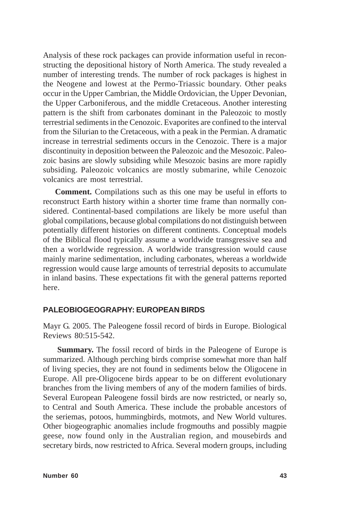Analysis of these rock packages can provide information useful in reconstructing the depositional history of North America. The study revealed a number of interesting trends. The number of rock packages is highest in the Neogene and lowest at the Permo-Triassic boundary. Other peaks occur in the Upper Cambrian, the Middle Ordovician, the Upper Devonian, the Upper Carboniferous, and the middle Cretaceous. Another interesting pattern is the shift from carbonates dominant in the Paleozoic to mostly terrestrial sediments in the Cenozoic. Evaporites are confined to the interval from the Silurian to the Cretaceous, with a peak in the Permian. A dramatic increase in terrestrial sediments occurs in the Cenozoic. There is a major discontinuity in deposition between the Paleozoic and the Mesozoic. Paleozoic basins are slowly subsiding while Mesozoic basins are more rapidly subsiding. Paleozoic volcanics are mostly submarine, while Cenozoic volcanics are most terrestrial.

**Comment.** Compilations such as this one may be useful in efforts to reconstruct Earth history within a shorter time frame than normally considered. Continental-based compilations are likely be more useful than global compilations, because global compilations do not distinguish between potentially different histories on different continents. Conceptual models of the Biblical flood typically assume a worldwide transgressive sea and then a worldwide regression. A worldwide transgression would cause mainly marine sedimentation, including carbonates, whereas a worldwide regression would cause large amounts of terrestrial deposits to accumulate in inland basins. These expectations fit with the general patterns reported here.

#### **PALEOBIOGEOGRAPHY: EUROPEAN BIRDS**

Mayr G. 2005. The Paleogene fossil record of birds in Europe. Biological Reviews 80:515-542.

**Summary.** The fossil record of birds in the Paleogene of Europe is summarized. Although perching birds comprise somewhat more than half of living species, they are not found in sediments below the Oligocene in Europe. All pre-Oligocene birds appear to be on different evolutionary branches from the living members of any of the modern families of birds. Several European Paleogene fossil birds are now restricted, or nearly so, to Central and South America. These include the probable ancestors of the seriemas, potoos, hummingbirds, motmots, and New World vultures. Other biogeographic anomalies include frogmouths and possibly magpie geese, now found only in the Australian region, and mousebirds and secretary birds, now restricted to Africa. Several modern groups, including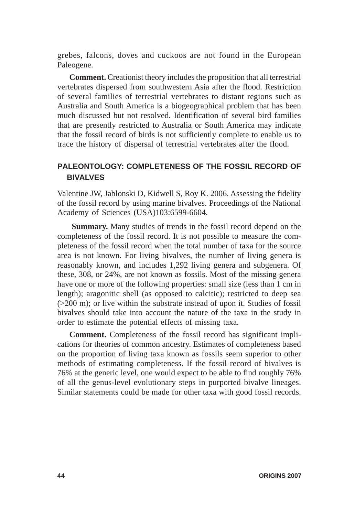grebes, falcons, doves and cuckoos are not found in the European Paleogene.

**Comment.** Creationist theory includes the proposition that all terrestrial vertebrates dispersed from southwestern Asia after the flood. Restriction of several families of terrestrial vertebrates to distant regions such as Australia and South America is a biogeographical problem that has been much discussed but not resolved. Identification of several bird families that are presently restricted to Australia or South America may indicate that the fossil record of birds is not sufficiently complete to enable us to trace the history of dispersal of terrestrial vertebrates after the flood.

# **PALEONTOLOGY: COMPLETENESS OF THE FOSSIL RECORD OF BIVALVES**

Valentine JW, Jablonski D, Kidwell S, Roy K. 2006. Assessing the fidelity of the fossil record by using marine bivalves. Proceedings of the National Academy of Sciences (USA)103:6599-6604.

**Summary.** Many studies of trends in the fossil record depend on the completeness of the fossil record. It is not possible to measure the completeness of the fossil record when the total number of taxa for the source area is not known. For living bivalves, the number of living genera is reasonably known, and includes 1,292 living genera and subgenera. Of these, 308, or 24%, are not known as fossils. Most of the missing genera have one or more of the following properties: small size (less than 1 cm in length); aragonitic shell (as opposed to calcitic); restricted to deep sea (>200 m); or live within the substrate instead of upon it. Studies of fossil bivalves should take into account the nature of the taxa in the study in order to estimate the potential effects of missing taxa.

**Comment.** Completeness of the fossil record has significant implications for theories of common ancestry. Estimates of completeness based on the proportion of living taxa known as fossils seem superior to other methods of estimating completeness. If the fossil record of bivalves is 76% at the generic level, one would expect to be able to find roughly 76% of all the genus-level evolutionary steps in purported bivalve lineages. Similar statements could be made for other taxa with good fossil records.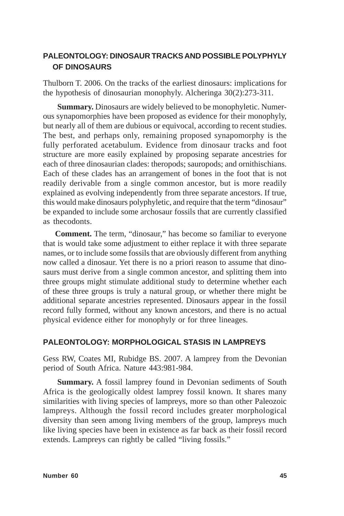## **PALEONTOLOGY: DINOSAUR TRACKS AND POSSIBLE POLYPHYLY OF DINOSAURS**

Thulborn T. 2006. On the tracks of the earliest dinosaurs: implications for the hypothesis of dinosaurian monophyly. Alcheringa 30(2):273-311.

**Summary.** Dinosaurs are widely believed to be monophyletic. Numerous synapomorphies have been proposed as evidence for their monophyly, but nearly all of them are dubious or equivocal, according to recent studies. The best, and perhaps only, remaining proposed synapomorphy is the fully perforated acetabulum. Evidence from dinosaur tracks and foot structure are more easily explained by proposing separate ancestries for each of three dinosaurian clades: theropods; sauropods; and ornithischians. Each of these clades has an arrangement of bones in the foot that is not readily derivable from a single common ancestor, but is more readily explained as evolving independently from three separate ancestors. If true, this would make dinosaurs polyphyletic, and require that the term "dinosaur" be expanded to include some archosaur fossils that are currently classified as thecodonts.

**Comment.** The term, "dinosaur," has become so familiar to everyone that is would take some adjustment to either replace it with three separate names, or to include some fossils that are obviously different from anything now called a dinosaur. Yet there is no a priori reason to assume that dinosaurs must derive from a single common ancestor, and splitting them into three groups might stimulate additional study to determine whether each of these three groups is truly a natural group, or whether there might be additional separate ancestries represented. Dinosaurs appear in the fossil record fully formed, without any known ancestors, and there is no actual physical evidence either for monophyly or for three lineages.

## **PALEONTOLOGY: MORPHOLOGICAL STASIS IN LAMPREYS**

Gess RW, Coates MI, Rubidge BS. 2007. A lamprey from the Devonian period of South Africa. Nature 443:981-984.

**Summary.** A fossil lamprey found in Devonian sediments of South Africa is the geologically oldest lamprey fossil known. It shares many similarities with living species of lampreys, more so than other Paleozoic lampreys. Although the fossil record includes greater morphological diversity than seen among living members of the group, lampreys much like living species have been in existence as far back as their fossil record extends. Lampreys can rightly be called "living fossils."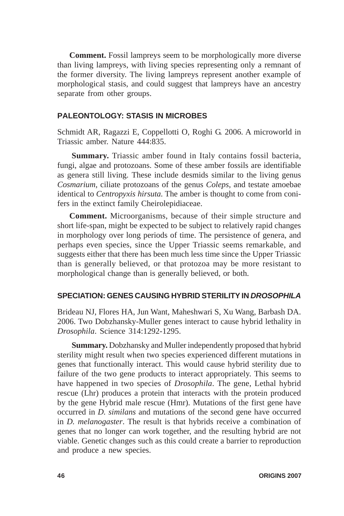**Comment.** Fossil lampreys seem to be morphologically more diverse than living lampreys, with living species representing only a remnant of the former diversity. The living lampreys represent another example of morphological stasis, and could suggest that lampreys have an ancestry separate from other groups.

## **PALEONTOLOGY: STASIS IN MICROBES**

Schmidt AR, Ragazzi E, Coppellotti O, Roghi G. 2006. A microworld in Triassic amber. Nature 444:835.

**Summary.** Triassic amber found in Italy contains fossil bacteria, fungi, algae and protozoans. Some of these amber fossils are identifiable as genera still living. These include desmids similar to the living genus *Cosmarium*, ciliate protozoans of the genus *Coleps*, and testate amoebae identical to *Centropyxis hirsuta*. The amber is thought to come from conifers in the extinct family Cheirolepidiaceae.

**Comment.** Microorganisms, because of their simple structure and short life-span, might be expected to be subject to relatively rapid changes in morphology over long periods of time. The persistence of genera, and perhaps even species, since the Upper Triassic seems remarkable, and suggests either that there has been much less time since the Upper Triassic than is generally believed, or that protozoa may be more resistant to morphological change than is generally believed, or both.

### **SPECIATION: GENES CAUSING HYBRID STERILITY IN** *DROSOPHILA*

Brideau NJ, Flores HA, Jun Want, Maheshwari S, Xu Wang, Barbash DA. 2006. Two Dobzhansky-Muller genes interact to cause hybrid lethality in *Drosophila*. Science 314:1292-1295.

**Summary.** Dobzhansky and Muller independently proposed that hybrid sterility might result when two species experienced different mutations in genes that functionally interact. This would cause hybrid sterility due to failure of the two gene products to interact appropriately. This seems to have happened in two species of *Drosophila*. The gene, Lethal hybrid rescue (Lhr) produces a protein that interacts with the protein produced by the gene Hybrid male rescue (Hmr). Mutations of the first gene have occurred in *D. similans* and mutations of the second gene have occurred in *D. melanogaster*. The result is that hybrids receive a combination of genes that no longer can work together, and the resulting hybrid are not viable. Genetic changes such as this could create a barrier to reproduction and produce a new species.